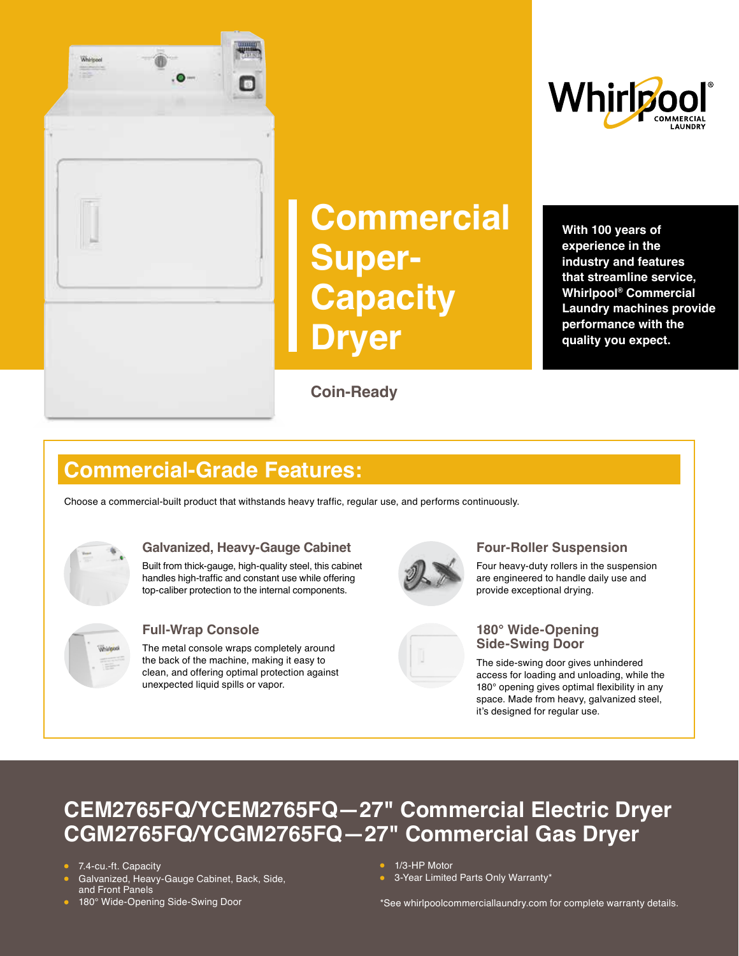

# **Commercial Super-Capacity Dryer**

**Coin-Ready**



**With 100 years of experience in the industry and features that streamline service, Whirlpool® Commercial Laundry machines provide performance with the quality you expect.** 

### **Commercial-Grade Features:**

Choose a commercial-built product that withstands heavy traffic, regular use, and performs continuously.



#### **Galvanized, Heavy-Gauge Cabinet**

Built from thick-gauge, high-quality steel, this cabinet handles high-traffic and constant use while offering top-caliber protection to the internal components.



#### **Full-Wrap Console**

The metal console wraps completely around the back of the machine, making it easy to clean, and offering optimal protection against unexpected liquid spills or vapor.



#### **Four-Roller Suspension**

Four heavy-duty rollers in the suspension are engineered to handle daily use and provide exceptional drying.



#### **180° Wide-Opening Side-Swing Door**

The side-swing door gives unhindered access for loading and unloading, while the 180° opening gives optimal flexibility in any space. Made from heavy, galvanized steel, it's designed for regular use.

### **CEM2765FQ/YCEM2765FQ—27" Commercial Electric Dryer CGM2765FQ/YCGM2765FQ—27" Commercial Gas Dryer**

- 7.4-cu.-ft. Capacity
- Galvanized, Heavy-Gauge Cabinet, Back, Side, and Front Panels
- 180° Wide-Opening Side-Swing Door
- 1/3-HP Motor
- 3-Year Limited Parts Only Warranty\*

\*See whirlpoolcommerciallaundry.com for complete warranty details.